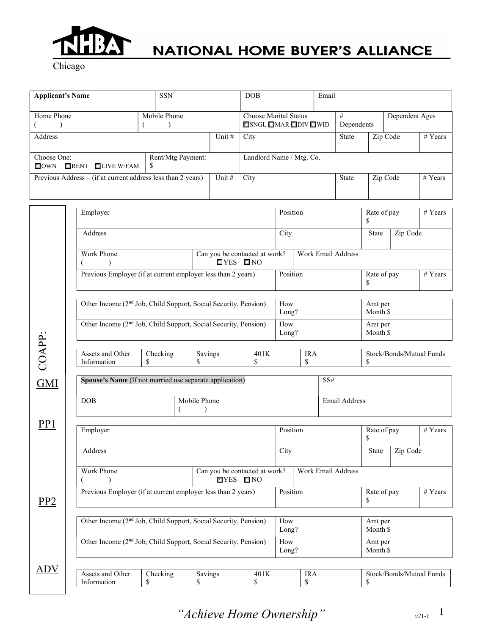

Chicago

| <b>Applicant's Name</b>                                        |   | <b>SSN</b>   |                          | <b>DOB</b>                   | Email        |            |          |                |  |
|----------------------------------------------------------------|---|--------------|--------------------------|------------------------------|--------------|------------|----------|----------------|--|
|                                                                |   |              |                          |                              |              |            |          |                |  |
| Home Phone                                                     |   | Mobile Phone |                          | <b>Choose Marital Status</b> |              | #          |          | Dependent Ages |  |
|                                                                |   |              |                          | <b>ESNGL IMAR IDIVIT WID</b> |              | Dependents |          |                |  |
| Address                                                        |   | Unit #       | City                     |                              | <b>State</b> |            | Zip Code | # Years        |  |
|                                                                |   |              |                          |                              |              |            |          |                |  |
| Rent/Mtg Payment:<br>Choose One:                               |   |              | Landlord Name / Mtg. Co. |                              |              |            |          |                |  |
| $\blacksquare$ RENT $\blacksquare$ LIVE W/FAM<br>$\Box$ own    | S |              |                          |                              |              |            |          |                |  |
| Previous Address $-$ (if at current address less than 2 years) |   | Unit #       | City                     |                              | <b>State</b> |            | Zip Code | # Years        |  |
|                                                                |   |              |                          |                              |              |            |          |                |  |
|                                                                |   |              |                          |                              |              |            |          |                |  |

|                 | Employer                                                                                                                               |                                                              |                               |                 | Position     |                     | Rate of pay<br>\$    |                              | # Years                  |  |
|-----------------|----------------------------------------------------------------------------------------------------------------------------------------|--------------------------------------------------------------|-------------------------------|-----------------|--------------|---------------------|----------------------|------------------------------|--------------------------|--|
|                 | Address                                                                                                                                |                                                              |                               |                 | City         |                     |                      | Zip Code                     |                          |  |
|                 | Work Phone<br>$\lambda$<br>€                                                                                                           | Can you be contacted at work?<br>$IYES$ $I'NO$               |                               |                 |              | Work Email Address  |                      |                              |                          |  |
|                 |                                                                                                                                        | Previous Employer (if at current employer less than 2 years) |                               |                 |              | Position            |                      | Rate of pay<br># Years<br>\$ |                          |  |
|                 | Other Income (2 <sup>nd</sup> Job, Child Support, Social Security, Pension)                                                            |                                                              |                               |                 |              | How<br>Long?        |                      | Amt per<br>Month \$          |                          |  |
|                 | Other Income (2 <sup>nd</sup> Job, Child Support, Social Security, Pension)                                                            |                                                              | How<br>Long?                  |                 |              | Amt per<br>Month \$ |                      |                              |                          |  |
| COAPP:          | Assets and Other<br>Information                                                                                                        | Checking<br>\$                                               | Savings<br>\$                 | 401K<br>\$      |              | <b>IRA</b><br>\$    | \$                   |                              | Stock/Bonds/Mutual Funds |  |
| <b>GMI</b>      | Spouse's Name (If not married use separate application)<br>SS#                                                                         |                                                              |                               |                 |              |                     |                      |                              |                          |  |
|                 | DOB                                                                                                                                    | €                                                            | Mobile Phone<br>$\lambda$     |                 |              |                     | <b>Email Address</b> |                              |                          |  |
| PP <sub>1</sub> | Employer                                                                                                                               |                                                              |                               |                 | Position     |                     | Rate of pay<br>S     |                              | # Years                  |  |
|                 | Address                                                                                                                                |                                                              |                               |                 | City         |                     | State                | Zip Code                     |                          |  |
|                 | Work Phone<br>$\lambda$<br>€                                                                                                           |                                                              | Can you be contacted at work? | <b>TYES ONO</b> |              | Work Email Address  |                      |                              |                          |  |
| PP <sub>2</sub> | Previous Employer (if at current employer less than 2 years)                                                                           |                                                              |                               |                 |              | Position            | Rate of pay          |                              | # Years                  |  |
|                 | Other Income (2 <sup>nd</sup> Job, Child Support, Social Security, Pension)                                                            |                                                              |                               |                 | How<br>Long? |                     |                      | Amt per<br>Month \$          |                          |  |
|                 | Other Income (2 <sup>nd</sup> Job, Child Support, Social Security, Pension)                                                            |                                                              |                               |                 | How<br>Long? |                     | Amt per<br>Month \$  |                              |                          |  |
| ADV             | Assets and Other<br>Checking<br>Stock/Bonds/Mutual Funds<br>Savings<br>401K<br><b>IRA</b><br>\$<br>\$<br>Information<br>\$<br>\$<br>\$ |                                                              |                               |                 |              |                     |                      |                              |                          |  |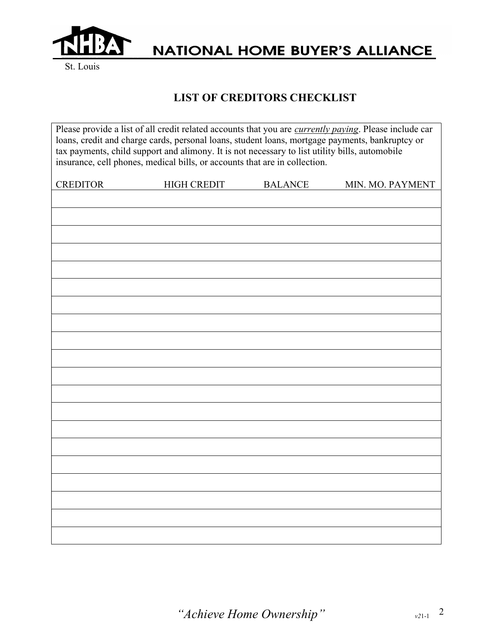

St. Louis

### LIST OF CREDITORS CHECKLIST

| Please provide a list of all credit related accounts that you are currently paying. Please include car<br>loans, credit and charge cards, personal loans, student loans, mortgage payments, bankruptcy or<br>tax payments, child support and alimony. It is not necessary to list utility bills, automobile<br>insurance, cell phones, medical bills, or accounts that are in collection. |                    |                |                  |  |  |  |
|-------------------------------------------------------------------------------------------------------------------------------------------------------------------------------------------------------------------------------------------------------------------------------------------------------------------------------------------------------------------------------------------|--------------------|----------------|------------------|--|--|--|
| <b>CREDITOR</b>                                                                                                                                                                                                                                                                                                                                                                           | <b>HIGH CREDIT</b> | <b>BALANCE</b> | MIN. MO. PAYMENT |  |  |  |
|                                                                                                                                                                                                                                                                                                                                                                                           |                    |                |                  |  |  |  |
|                                                                                                                                                                                                                                                                                                                                                                                           |                    |                |                  |  |  |  |
|                                                                                                                                                                                                                                                                                                                                                                                           |                    |                |                  |  |  |  |
|                                                                                                                                                                                                                                                                                                                                                                                           |                    |                |                  |  |  |  |
|                                                                                                                                                                                                                                                                                                                                                                                           |                    |                |                  |  |  |  |
|                                                                                                                                                                                                                                                                                                                                                                                           |                    |                |                  |  |  |  |
|                                                                                                                                                                                                                                                                                                                                                                                           |                    |                |                  |  |  |  |
|                                                                                                                                                                                                                                                                                                                                                                                           |                    |                |                  |  |  |  |
|                                                                                                                                                                                                                                                                                                                                                                                           |                    |                |                  |  |  |  |
|                                                                                                                                                                                                                                                                                                                                                                                           |                    |                |                  |  |  |  |
|                                                                                                                                                                                                                                                                                                                                                                                           |                    |                |                  |  |  |  |
|                                                                                                                                                                                                                                                                                                                                                                                           |                    |                |                  |  |  |  |
|                                                                                                                                                                                                                                                                                                                                                                                           |                    |                |                  |  |  |  |
|                                                                                                                                                                                                                                                                                                                                                                                           |                    |                |                  |  |  |  |
|                                                                                                                                                                                                                                                                                                                                                                                           |                    |                |                  |  |  |  |
|                                                                                                                                                                                                                                                                                                                                                                                           |                    |                |                  |  |  |  |
|                                                                                                                                                                                                                                                                                                                                                                                           |                    |                |                  |  |  |  |
|                                                                                                                                                                                                                                                                                                                                                                                           |                    |                |                  |  |  |  |
|                                                                                                                                                                                                                                                                                                                                                                                           |                    |                |                  |  |  |  |
|                                                                                                                                                                                                                                                                                                                                                                                           |                    |                |                  |  |  |  |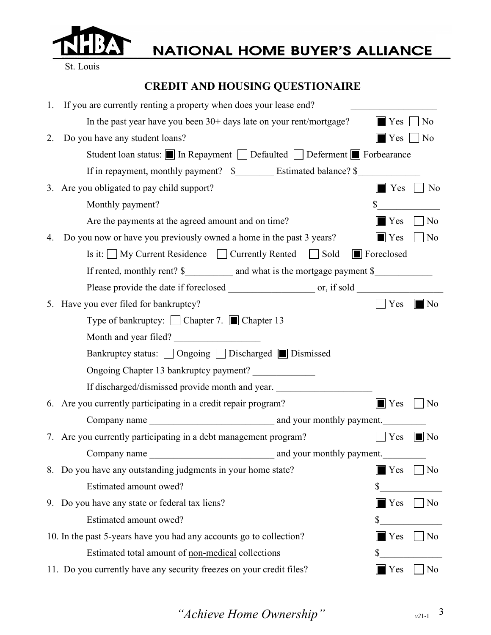

St. Louis

### CREDIT AND HOUSING QUESTIONAIRE

| 1. | If you are currently renting a property when does your lease end?         |                                    |
|----|---------------------------------------------------------------------------|------------------------------------|
|    | In the past year have you been 30+ days late on your rent/mortgage?       | $\blacksquare$ Yes<br>  No         |
| 2. | Do you have any student loans?                                            | Yes<br>  No                        |
|    | Student loan status: ■ In Repayment ■ Defaulted ■ Deferment ■ Forbearance |                                    |
|    |                                                                           |                                    |
|    | 3. Are you obligated to pay child support?                                | $\blacksquare$ Yes<br>$\vert$   No |
|    | Monthly payment?                                                          | \$                                 |
|    | Are the payments at the agreed amount and on time?                        | $\blacksquare$ Yes<br>No           |
| 4. | Do you now or have you previously owned a home in the past 3 years?       | $\blacksquare$ Yes<br>No           |
|    | Is it: $\Box$ My Current Residence $\Box$ Currently Rented $\Box$ Sold    | <b>I</b> Foreclosed                |
|    | If rented, monthly rent? \$                                               |                                    |
|    |                                                                           |                                    |
|    | 5. Have you ever filed for bankruptcy?                                    | Yes<br>$\blacksquare$ No           |
|    | Type of bankruptcy: ◯ Chapter 7. ◯ Chapter 13                             |                                    |
|    | Month and year filed?                                                     |                                    |
|    | Bankruptcy status: □ Ongoing □ Discharged ■ Dismissed                     |                                    |
|    | Ongoing Chapter 13 bankruptcy payment?                                    |                                    |
|    | If discharged/dismissed provide month and year.                           |                                    |
|    | 6. Are you currently participating in a credit repair program?            | $\blacksquare$ Yes<br>No           |
|    |                                                                           |                                    |
|    | 7. Are you currently participating in a debt management program?          | Yes<br>$\blacksquare$ No           |
|    | and your monthly payment.<br>Company name                                 |                                    |
|    | 8. Do you have any outstanding judgments in your home state?              | $\blacksquare$ Yes<br>No           |
|    | Estimated amount owed?                                                    | \$                                 |
|    | 9. Do you have any state or federal tax liens?                            | $\blacksquare$ Yes<br>No           |
|    | Estimated amount owed?                                                    | \$                                 |
|    | 10. In the past 5-years have you had any accounts go to collection?       | $\blacksquare$ Yes<br>No           |
|    | Estimated total amount of non-medical collections                         |                                    |
|    | 11. Do you currently have any security freezes on your credit files?      | $\blacksquare$ Yes<br>No           |

"Achieve Home Ownership"  $v_{21-1}$ <sup>3</sup>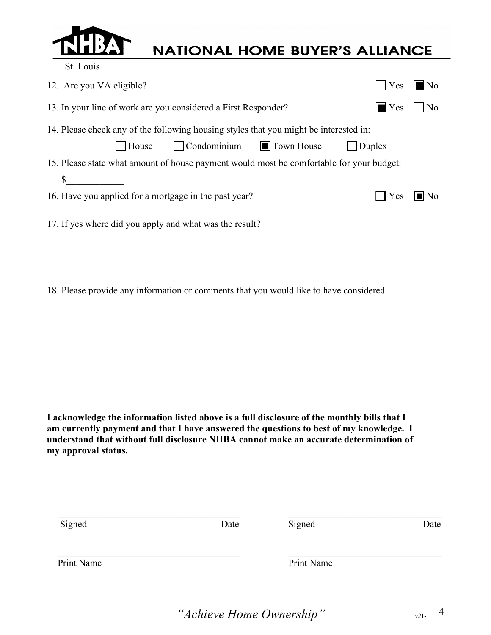

St. Louis

## **NATIONAL HOME BUYER'S ALLIANCE**

| 12. Are you VA eligible?                                                                 | Yes | $\blacksquare$ No |  |  |  |
|------------------------------------------------------------------------------------------|-----|-------------------|--|--|--|
| 13. In your line of work are you considered a First Responder?<br>$\blacksquare$ Yes     |     |                   |  |  |  |
| 14. Please check any of the following housing styles that you might be interested in:    |     |                   |  |  |  |
| $\Box$ House $\Box$ Condominium $\Box$ Town House $\Box$ Duplex                          |     |                   |  |  |  |
| 15. Please state what amount of house payment would most be comfortable for your budget: |     |                   |  |  |  |
|                                                                                          |     |                   |  |  |  |
| $\Box$ Yes $\Box$ No<br>16. Have you applied for a mortgage in the past year?            |     |                   |  |  |  |
| 17. If yes where did you apply and what was the result?                                  |     |                   |  |  |  |

18. Please provide any information or comments that you would like to have considered.

I acknowledge the information listed above is a full disclosure of the monthly bills that I am currently payment and that I have answered the questions to best of my knowledge. I understand that without full disclosure NHBA cannot make an accurate determination of my approval status.

| Signed     | Date | Signed     | Date |
|------------|------|------------|------|
| Print Name |      | Print Name |      |

"Achieve Home Ownership"  $v_{21-1}$  4